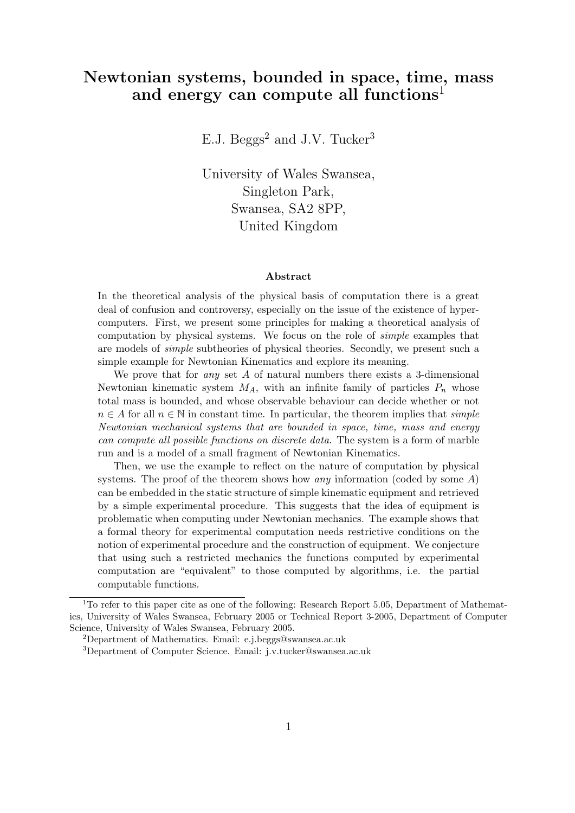# Newtonian systems, bounded in space, time, mass and energy can compute all functions<sup>1</sup>

E.J. Beggs<sup>2</sup> and J.V. Tucker<sup>3</sup>

University of Wales Swansea, Singleton Park, Swansea, SA2 8PP, United Kingdom

#### Abstract

In the theoretical analysis of the physical basis of computation there is a great deal of confusion and controversy, especially on the issue of the existence of hypercomputers. First, we present some principles for making a theoretical analysis of computation by physical systems. We focus on the role of simple examples that are models of simple subtheories of physical theories. Secondly, we present such a simple example for Newtonian Kinematics and explore its meaning.

We prove that for *any* set  $A$  of natural numbers there exists a 3-dimensional Newtonian kinematic system  $M_A$ , with an infinite family of particles  $P_n$  whose total mass is bounded, and whose observable behaviour can decide whether or not  $n \in A$  for all  $n \in \mathbb{N}$  in constant time. In particular, the theorem implies that *simple* Newtonian mechanical systems that are bounded in space, time, mass and energy can compute all possible functions on discrete data. The system is a form of marble run and is a model of a small fragment of Newtonian Kinematics.

Then, we use the example to reflect on the nature of computation by physical systems. The proof of the theorem shows how *any* information (coded by some  $A$ ) can be embedded in the static structure of simple kinematic equipment and retrieved by a simple experimental procedure. This suggests that the idea of equipment is problematic when computing under Newtonian mechanics. The example shows that a formal theory for experimental computation needs restrictive conditions on the notion of experimental procedure and the construction of equipment. We conjecture that using such a restricted mechanics the functions computed by experimental computation are "equivalent" to those computed by algorithms, i.e. the partial computable functions.

<sup>&</sup>lt;sup>1</sup>To refer to this paper cite as one of the following: Research Report 5.05, Department of Mathematics, University of Wales Swansea, February 2005 or Technical Report 3-2005, Department of Computer Science, University of Wales Swansea, February 2005.

<sup>2</sup>Department of Mathematics. Email: e.j.beggs@swansea.ac.uk

<sup>3</sup>Department of Computer Science. Email: j.v.tucker@swansea.ac.uk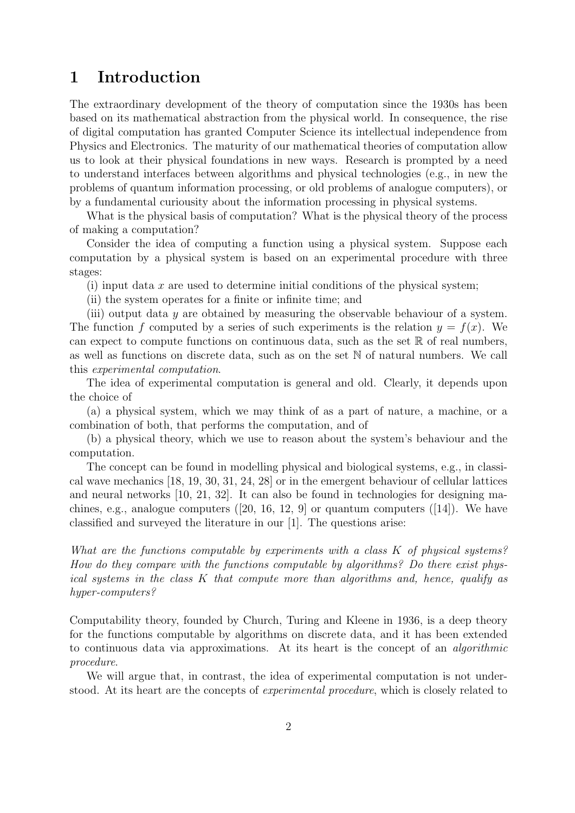## 1 Introduction

The extraordinary development of the theory of computation since the 1930s has been based on its mathematical abstraction from the physical world. In consequence, the rise of digital computation has granted Computer Science its intellectual independence from Physics and Electronics. The maturity of our mathematical theories of computation allow us to look at their physical foundations in new ways. Research is prompted by a need to understand interfaces between algorithms and physical technologies (e.g., in new the problems of quantum information processing, or old problems of analogue computers), or by a fundamental curiousity about the information processing in physical systems.

What is the physical basis of computation? What is the physical theory of the process of making a computation?

Consider the idea of computing a function using a physical system. Suppose each computation by a physical system is based on an experimental procedure with three stages:

(i) input data  $x$  are used to determine initial conditions of the physical system;

(ii) the system operates for a finite or infinite time; and

(iii) output data y are obtained by measuring the observable behaviour of a system. The function f computed by a series of such experiments is the relation  $y = f(x)$ . We can expect to compute functions on continuous data, such as the set  $\mathbb R$  of real numbers, as well as functions on discrete data, such as on the set N of natural numbers. We call this experimental computation.

The idea of experimental computation is general and old. Clearly, it depends upon the choice of

(a) a physical system, which we may think of as a part of nature, a machine, or a combination of both, that performs the computation, and of

(b) a physical theory, which we use to reason about the system's behaviour and the computation.

The concept can be found in modelling physical and biological systems, e.g., in classical wave mechanics [18, 19, 30, 31, 24, 28] or in the emergent behaviour of cellular lattices and neural networks [10, 21, 32]. It can also be found in technologies for designing machines, e.g., analogue computers  $(20, 16, 12, 9]$  or quantum computers  $(14)$ . We have classified and surveyed the literature in our [1]. The questions arise:

What are the functions computable by experiments with a class K of physical systems? How do they compare with the functions computable by algorithms? Do there exist physical systems in the class  $K$  that compute more than algorithms and, hence, qualify as hyper-computers?

Computability theory, founded by Church, Turing and Kleene in 1936, is a deep theory for the functions computable by algorithms on discrete data, and it has been extended to continuous data via approximations. At its heart is the concept of an algorithmic procedure.

We will argue that, in contrast, the idea of experimental computation is not understood. At its heart are the concepts of experimental procedure, which is closely related to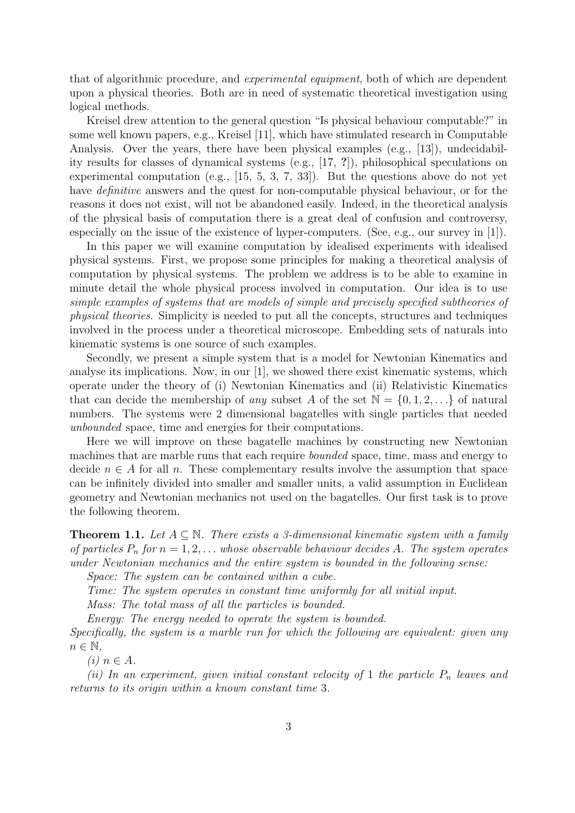that of algorithmic procedure, and experimental equipment, both of which are dependent upon a physical theories. Both are in need of systematic theoretical investigation using logical methods.

Kreisel drew attention to the general question "Is physical behaviour computable?" in some well known papers, e.g., Kreisel [11], which have stimulated research in Computable Analysis. Over the years, there have been physical examples (e.g., [13]), undecidability results for classes of dynamical systems (e.g., [17, ?]), philosophical speculations on experimental computation (e.g., [15, 5, 3, 7, 33]). But the questions above do not yet have *definitive* answers and the quest for non-computable physical behaviour, or for the reasons it does not exist, will not be abandoned easily. Indeed, in the theoretical analysis of the physical basis of computation there is a great deal of confusion and controversy, especially on the issue of the existence of hyper-computers. (See, e.g., our survey in [1]).

In this paper we will examine computation by idealised experiments with idealised physical systems. First, we propose some principles for making a theoretical analysis of computation by physical systems. The problem we address is to be able to examine in minute detail the whole physical process involved in computation. Our idea is to use simple examples of systems that are models of simple and precisely specified subtheories of physical theories. Simplicity is needed to put all the concepts, structures and techniques involved in the process under a theoretical microscope. Embedding sets of naturals into kinematic systems is one source of such examples.

Secondly, we present a simple system that is a model for Newtonian Kinematics and analyse its implications. Now, in our [1], we showed there exist kinematic systems, which operate under the theory of (i) Newtonian Kinematics and (ii) Relativistic Kinematics that can decide the membership of any subset A of the set  $\mathbb{N} = \{0, 1, 2, \ldots\}$  of natural numbers. The systems were 2 dimensional bagatelles with single particles that needed unbounded space, time and energies for their computations.

Here we will improve on these bagatelle machines by constructing new Newtonian machines that are marble runs that each require bounded space, time, mass and energy to decide  $n \in A$  for all n. These complementary results involve the assumption that space can be infinitely divided into smaller and smaller units, a valid assumption in Euclidean geometry and Newtonian mechanics not used on the bagatelles. Our first task is to prove the following theorem.

**Theorem 1.1.** Let  $A \subseteq \mathbb{N}$ . There exists a 3-dimensional kinematic system with a family of particles  $P_n$  for  $n = 1, 2, \ldots$  whose observable behaviour decides A. The system operates under Newtonian mechanics and the entire system is bounded in the following sense:

Space: The system can be contained within a cube.

Time: The system operates in constant time uniformly for all initial input.

Mass: The total mass of all the particles is bounded.

Energy: The energy needed to operate the system is bounded.

Specifically, the system is a marble run for which the following are equivalent: given any  $n \in \mathbb{N},$ 

 $(i)$   $n \in A$ .

(ii) In an experiment, given initial constant velocity of 1 the particle  $P_n$  leaves and returns to its origin within a known constant time 3.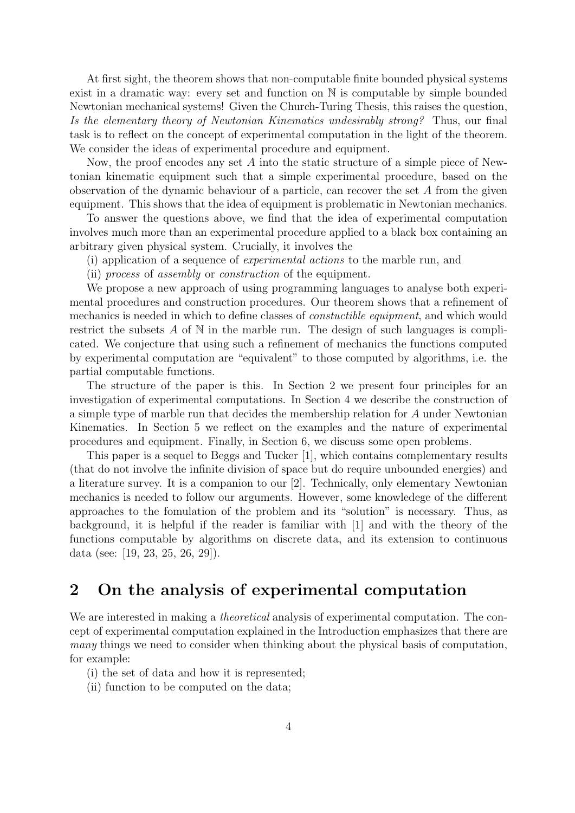At first sight, the theorem shows that non-computable finite bounded physical systems exist in a dramatic way: every set and function on N is computable by simple bounded Newtonian mechanical systems! Given the Church-Turing Thesis, this raises the question, Is the elementary theory of Newtonian Kinematics undesirably strong? Thus, our final task is to reflect on the concept of experimental computation in the light of the theorem. We consider the ideas of experimental procedure and equipment.

Now, the proof encodes any set  $A$  into the static structure of a simple piece of Newtonian kinematic equipment such that a simple experimental procedure, based on the observation of the dynamic behaviour of a particle, can recover the set A from the given equipment. This shows that the idea of equipment is problematic in Newtonian mechanics.

To answer the questions above, we find that the idea of experimental computation involves much more than an experimental procedure applied to a black box containing an arbitrary given physical system. Crucially, it involves the

(i) application of a sequence of experimental actions to the marble run, and

(ii) process of assembly or construction of the equipment.

We propose a new approach of using programming languages to analyse both experimental procedures and construction procedures. Our theorem shows that a refinement of mechanics is needed in which to define classes of constuctible equipment, and which would restrict the subsets  $A$  of  $N$  in the marble run. The design of such languages is complicated. We conjecture that using such a refinement of mechanics the functions computed by experimental computation are "equivalent" to those computed by algorithms, i.e. the partial computable functions.

The structure of the paper is this. In Section 2 we present four principles for an investigation of experimental computations. In Section 4 we describe the construction of a simple type of marble run that decides the membership relation for A under Newtonian Kinematics. In Section 5 we reflect on the examples and the nature of experimental procedures and equipment. Finally, in Section 6, we discuss some open problems.

This paper is a sequel to Beggs and Tucker [1], which contains complementary results (that do not involve the infinite division of space but do require unbounded energies) and a literature survey. It is a companion to our [2]. Technically, only elementary Newtonian mechanics is needed to follow our arguments. However, some knowledege of the different approaches to the fomulation of the problem and its "solution" is necessary. Thus, as background, it is helpful if the reader is familiar with [1] and with the theory of the functions computable by algorithms on discrete data, and its extension to continuous data (see: [19, 23, 25, 26, 29]).

# 2 On the analysis of experimental computation

We are interested in making a *theoretical* analysis of experimental computation. The concept of experimental computation explained in the Introduction emphasizes that there are many things we need to consider when thinking about the physical basis of computation, for example:

- (i) the set of data and how it is represented;
- (ii) function to be computed on the data;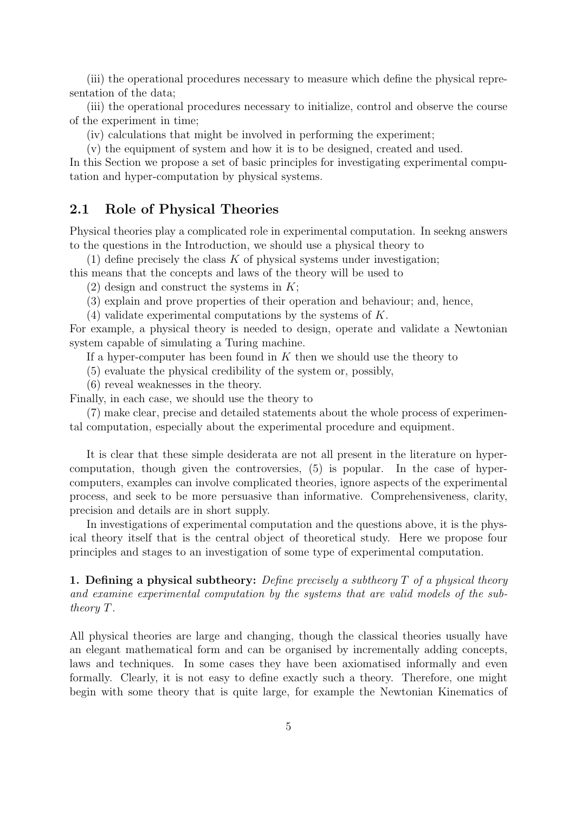(iii) the operational procedures necessary to measure which define the physical representation of the data;

(iii) the operational procedures necessary to initialize, control and observe the course of the experiment in time;

(iv) calculations that might be involved in performing the experiment;

(v) the equipment of system and how it is to be designed, created and used.

In this Section we propose a set of basic principles for investigating experimental computation and hyper-computation by physical systems.

### 2.1 Role of Physical Theories

Physical theories play a complicated role in experimental computation. In seekng answers to the questions in the Introduction, we should use a physical theory to

(1) define precisely the class  $K$  of physical systems under investigation; this means that the concepts and laws of the theory will be used to

 $(2)$  design and construct the systems in K;

(3) explain and prove properties of their operation and behaviour; and, hence,

(4) validate experimental computations by the systems of K.

For example, a physical theory is needed to design, operate and validate a Newtonian system capable of simulating a Turing machine.

If a hyper-computer has been found in  $K$  then we should use the theory to

- (5) evaluate the physical credibility of the system or, possibly,
- (6) reveal weaknesses in the theory.

Finally, in each case, we should use the theory to

(7) make clear, precise and detailed statements about the whole process of experimental computation, especially about the experimental procedure and equipment.

It is clear that these simple desiderata are not all present in the literature on hypercomputation, though given the controversies, (5) is popular. In the case of hypercomputers, examples can involve complicated theories, ignore aspects of the experimental process, and seek to be more persuasive than informative. Comprehensiveness, clarity, precision and details are in short supply.

In investigations of experimental computation and the questions above, it is the physical theory itself that is the central object of theoretical study. Here we propose four principles and stages to an investigation of some type of experimental computation.

1. Defining a physical subtheory: Define precisely a subtheory  $T$  of a physical theory and examine experimental computation by the systems that are valid models of the subtheory T.

All physical theories are large and changing, though the classical theories usually have an elegant mathematical form and can be organised by incrementally adding concepts, laws and techniques. In some cases they have been axiomatised informally and even formally. Clearly, it is not easy to define exactly such a theory. Therefore, one might begin with some theory that is quite large, for example the Newtonian Kinematics of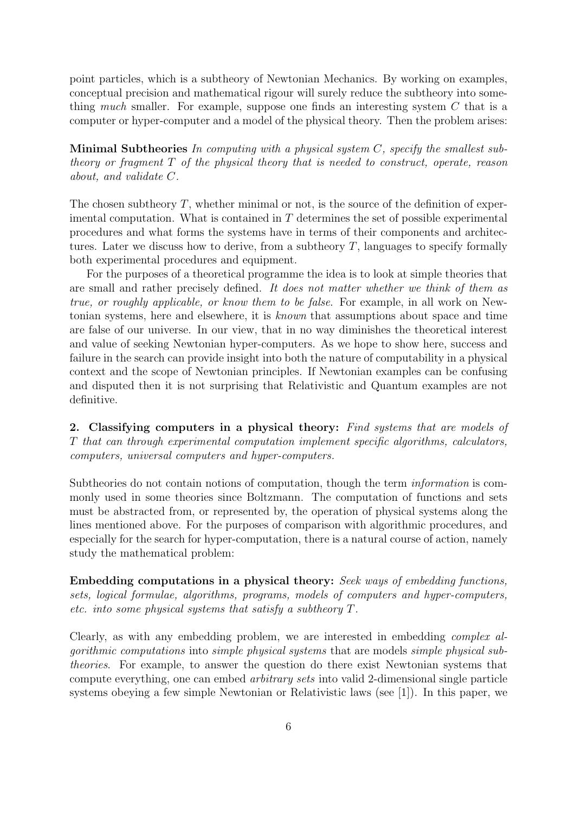point particles, which is a subtheory of Newtonian Mechanics. By working on examples, conceptual precision and mathematical rigour will surely reduce the subtheory into something much smaller. For example, suppose one finds an interesting system  $C$  that is a computer or hyper-computer and a model of the physical theory. Then the problem arises:

**Minimal Subtheories** In computing with a physical system C, specify the smallest subtheory or fragment  $T$  of the physical theory that is needed to construct, operate, reason about, and validate C.

The chosen subtheory  $T$ , whether minimal or not, is the source of the definition of experimental computation. What is contained in  $T$  determines the set of possible experimental procedures and what forms the systems have in terms of their components and architectures. Later we discuss how to derive, from a subtheory  $T$ , languages to specify formally both experimental procedures and equipment.

For the purposes of a theoretical programme the idea is to look at simple theories that are small and rather precisely defined. It does not matter whether we think of them as true, or roughly applicable, or know them to be false. For example, in all work on Newtonian systems, here and elsewhere, it is known that assumptions about space and time are false of our universe. In our view, that in no way diminishes the theoretical interest and value of seeking Newtonian hyper-computers. As we hope to show here, success and failure in the search can provide insight into both the nature of computability in a physical context and the scope of Newtonian principles. If Newtonian examples can be confusing and disputed then it is not surprising that Relativistic and Quantum examples are not definitive.

2. Classifying computers in a physical theory: Find systems that are models of T that can through experimental computation implement specific algorithms, calculators, computers, universal computers and hyper-computers.

Subtheories do not contain notions of computation, though the term *information* is commonly used in some theories since Boltzmann. The computation of functions and sets must be abstracted from, or represented by, the operation of physical systems along the lines mentioned above. For the purposes of comparison with algorithmic procedures, and especially for the search for hyper-computation, there is a natural course of action, namely study the mathematical problem:

Embedding computations in a physical theory: Seek ways of embedding functions, sets, logical formulae, algorithms, programs, models of computers and hyper-computers, etc. into some physical systems that satisfy a subtheory T.

Clearly, as with any embedding problem, we are interested in embedding complex algorithmic computations into simple physical systems that are models simple physical subtheories. For example, to answer the question do there exist Newtonian systems that compute everything, one can embed arbitrary sets into valid 2-dimensional single particle systems obeying a few simple Newtonian or Relativistic laws (see [1]). In this paper, we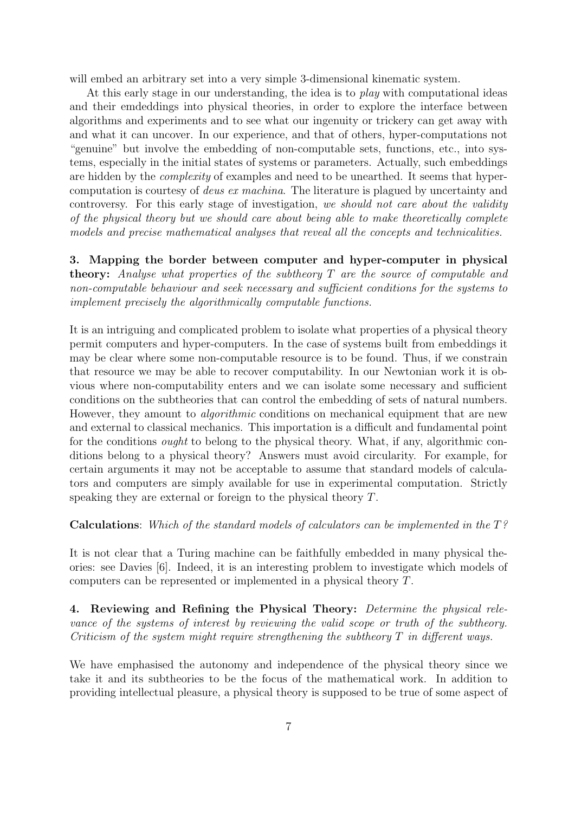will embed an arbitrary set into a very simple 3-dimensional kinematic system.

At this early stage in our understanding, the idea is to  $play$  with computational ideas and their emdeddings into physical theories, in order to explore the interface between algorithms and experiments and to see what our ingenuity or trickery can get away with and what it can uncover. In our experience, and that of others, hyper-computations not "genuine" but involve the embedding of non-computable sets, functions, etc., into systems, especially in the initial states of systems or parameters. Actually, such embeddings are hidden by the complexity of examples and need to be unearthed. It seems that hypercomputation is courtesy of deus ex machina. The literature is plagued by uncertainty and controversy. For this early stage of investigation, we should not care about the validity of the physical theory but we should care about being able to make theoretically complete models and precise mathematical analyses that reveal all the concepts and technicalities.

3. Mapping the border between computer and hyper-computer in physical **theory:** Analyse what properties of the subtheory  $T$  are the source of computable and non-computable behaviour and seek necessary and sufficient conditions for the systems to implement precisely the algorithmically computable functions.

It is an intriguing and complicated problem to isolate what properties of a physical theory permit computers and hyper-computers. In the case of systems built from embeddings it may be clear where some non-computable resource is to be found. Thus, if we constrain that resource we may be able to recover computability. In our Newtonian work it is obvious where non-computability enters and we can isolate some necessary and sufficient conditions on the subtheories that can control the embedding of sets of natural numbers. However, they amount to *algorithmic* conditions on mechanical equipment that are new and external to classical mechanics. This importation is a difficult and fundamental point for the conditions *ought* to belong to the physical theory. What, if any, algorithmic conditions belong to a physical theory? Answers must avoid circularity. For example, for certain arguments it may not be acceptable to assume that standard models of calculators and computers are simply available for use in experimental computation. Strictly speaking they are external or foreign to the physical theory T.

### Calculations: Which of the standard models of calculators can be implemented in the T?

It is not clear that a Turing machine can be faithfully embedded in many physical theories: see Davies [6]. Indeed, it is an interesting problem to investigate which models of computers can be represented or implemented in a physical theory T.

4. Reviewing and Refining the Physical Theory: Determine the physical relevance of the systems of interest by reviewing the valid scope or truth of the subtheory. Criticism of the system might require strengthening the subtheory  $T$  in different ways.

We have emphasised the autonomy and independence of the physical theory since we take it and its subtheories to be the focus of the mathematical work. In addition to providing intellectual pleasure, a physical theory is supposed to be true of some aspect of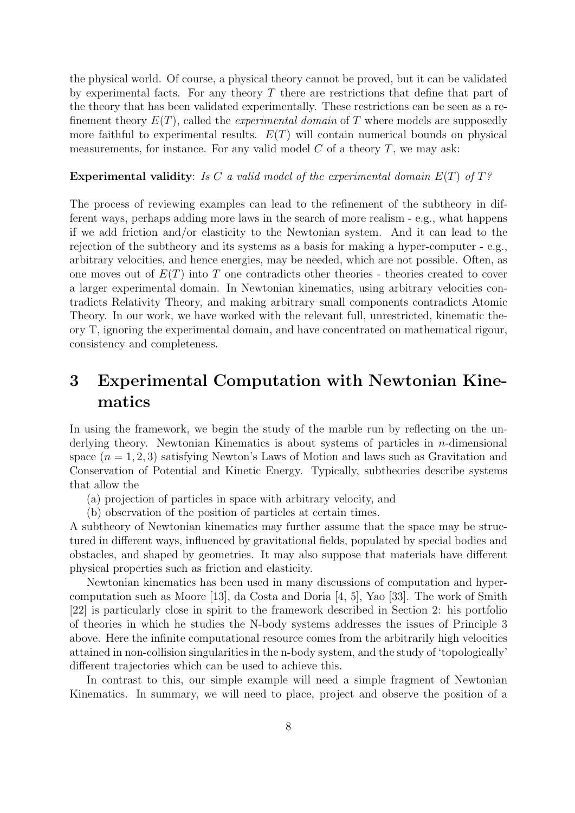the physical world. Of course, a physical theory cannot be proved, but it can be validated by experimental facts. For any theory  $T$  there are restrictions that define that part of the theory that has been validated experimentally. These restrictions can be seen as a refinement theory  $E(T)$ , called the *experimental domain* of T where models are supposedly more faithful to experimental results.  $E(T)$  will contain numerical bounds on physical measurements, for instance. For any valid model  $C$  of a theory  $T$ , we may ask:

#### **Experimental validity**: Is C a valid model of the experimental domain  $E(T)$  of T?

The process of reviewing examples can lead to the refinement of the subtheory in different ways, perhaps adding more laws in the search of more realism - e.g., what happens if we add friction and/or elasticity to the Newtonian system. And it can lead to the rejection of the subtheory and its systems as a basis for making a hyper-computer - e.g., arbitrary velocities, and hence energies, may be needed, which are not possible. Often, as one moves out of  $E(T)$  into T one contradicts other theories - theories created to cover a larger experimental domain. In Newtonian kinematics, using arbitrary velocities contradicts Relativity Theory, and making arbitrary small components contradicts Atomic Theory. In our work, we have worked with the relevant full, unrestricted, kinematic theory T, ignoring the experimental domain, and have concentrated on mathematical rigour, consistency and completeness.

# 3 Experimental Computation with Newtonian Kinematics

In using the framework, we begin the study of the marble run by reflecting on the underlying theory. Newtonian Kinematics is about systems of particles in  $n$ -dimensional space  $(n = 1, 2, 3)$  satisfying Newton's Laws of Motion and laws such as Gravitation and Conservation of Potential and Kinetic Energy. Typically, subtheories describe systems that allow the

- (a) projection of particles in space with arbitrary velocity, and
- (b) observation of the position of particles at certain times.

A subtheory of Newtonian kinematics may further assume that the space may be structured in different ways, influenced by gravitational fields, populated by special bodies and obstacles, and shaped by geometries. It may also suppose that materials have different physical properties such as friction and elasticity.

Newtonian kinematics has been used in many discussions of computation and hypercomputation such as Moore [13], da Costa and Doria [4, 5], Yao [33]. The work of Smith [22] is particularly close in spirit to the framework described in Section 2: his portfolio of theories in which he studies the N-body systems addresses the issues of Principle 3 above. Here the infinite computational resource comes from the arbitrarily high velocities attained in non-collision singularities in the n-body system, and the study of 'topologically' different trajectories which can be used to achieve this.

In contrast to this, our simple example will need a simple fragment of Newtonian Kinematics. In summary, we will need to place, project and observe the position of a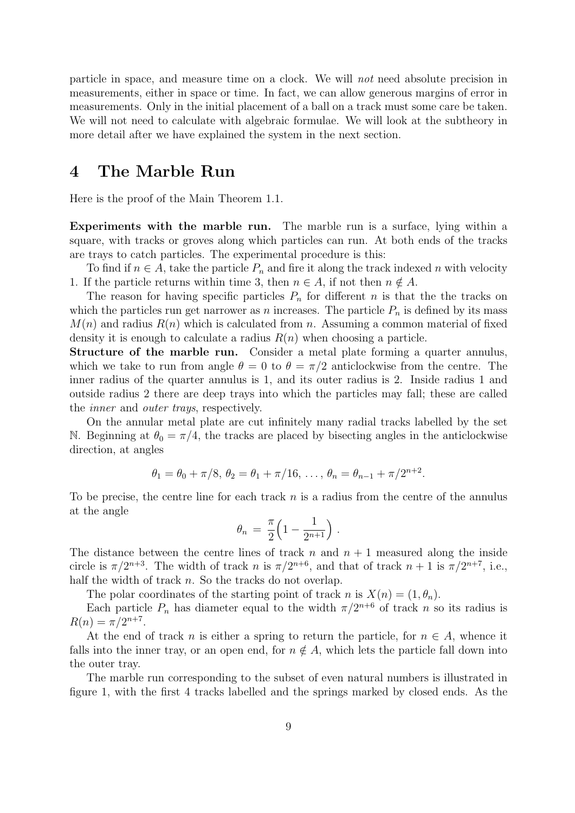particle in space, and measure time on a clock. We will not need absolute precision in measurements, either in space or time. In fact, we can allow generous margins of error in measurements. Only in the initial placement of a ball on a track must some care be taken. We will not need to calculate with algebraic formulae. We will look at the subtheory in more detail after we have explained the system in the next section.

# 4 The Marble Run

Here is the proof of the Main Theorem 1.1.

Experiments with the marble run. The marble run is a surface, lying within a square, with tracks or groves along which particles can run. At both ends of the tracks are trays to catch particles. The experimental procedure is this:

To find if  $n \in A$ , take the particle  $P_n$  and fire it along the track indexed n with velocity 1. If the particle returns within time 3, then  $n \in A$ , if not then  $n \notin A$ .

The reason for having specific particles  $P_n$  for different n is that the the tracks on which the particles run get narrower as n increases. The particle  $P_n$  is defined by its mass  $M(n)$  and radius  $R(n)$  which is calculated from n. Assuming a common material of fixed density it is enough to calculate a radius  $R(n)$  when choosing a particle.

Structure of the marble run. Consider a metal plate forming a quarter annulus, which we take to run from angle  $\theta = 0$  to  $\theta = \pi/2$  anticlockwise from the centre. The inner radius of the quarter annulus is 1, and its outer radius is 2. Inside radius 1 and outside radius 2 there are deep trays into which the particles may fall; these are called the inner and outer trays, respectively.

On the annular metal plate are cut infinitely many radial tracks labelled by the set N. Beginning at  $\theta_0 = \pi/4$ , the tracks are placed by bisecting angles in the anticlockwise direction, at angles

$$
\theta_1 = \theta_0 + \pi/8, \ \theta_2 = \theta_1 + \pi/16, \ \ldots, \ \theta_n = \theta_{n-1} + \pi/2^{n+2}.
$$

To be precise, the centre line for each track  $n$  is a radius from the centre of the annulus at the angle

$$
\theta_n = \frac{\pi}{2} \Big( 1 - \frac{1}{2^{n+1}} \Big) .
$$

The distance between the centre lines of track n and  $n + 1$  measured along the inside circle is  $\pi/2^{n+3}$ . The width of track n is  $\pi/2^{n+6}$ , and that of track  $n+1$  is  $\pi/2^{n+7}$ , i.e., half the width of track  $n$ . So the tracks do not overlap.

The polar coordinates of the starting point of track n is  $X(n) = (1, \theta_n)$ .

Each particle  $P_n$  has diameter equal to the width  $\pi/2^{n+6}$  of track n so its radius is  $R(n) = \pi/2^{n+7}.$ 

At the end of track n is either a spring to return the particle, for  $n \in A$ , whence it falls into the inner tray, or an open end, for  $n \notin A$ , which lets the particle fall down into the outer tray.

The marble run corresponding to the subset of even natural numbers is illustrated in figure 1, with the first 4 tracks labelled and the springs marked by closed ends. As the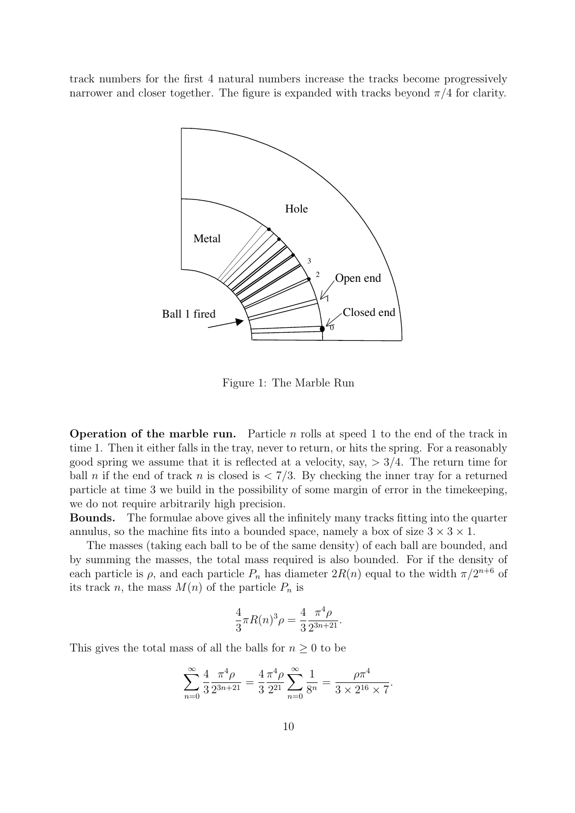track numbers for the first 4 natural numbers increase the tracks become progressively narrower and closer together. The figure is expanded with tracks beyond  $\pi/4$  for clarity.



Figure 1: The Marble Run

**Operation of the marble run.** Particle n rolls at speed 1 to the end of the track in time 1. Then it either falls in the tray, never to return, or hits the spring. For a reasonably good spring we assume that it is reflected at a velocity, say,  $> 3/4$ . The return time for ball n if the end of track n is closed is  $\langle 7/3. \rangle$  By checking the inner tray for a returned particle at time 3 we build in the possibility of some margin of error in the timekeeping, we do not require arbitrarily high precision.

Bounds. The formulae above gives all the infinitely many tracks fitting into the quarter annulus, so the machine fits into a bounded space, namely a box of size  $3 \times 3 \times 1$ .

The masses (taking each ball to be of the same density) of each ball are bounded, and by summing the masses, the total mass required is also bounded. For if the density of each particle is  $\rho$ , and each particle  $P_n$  has diameter  $2R(n)$  equal to the width  $\pi/2^{n+6}$  of its track n, the mass  $M(n)$  of the particle  $P_n$  is

$$
\frac{4}{3}\pi R(n)^3 \rho = \frac{4}{3} \frac{\pi^4 \rho}{2^{3n+21}}.
$$

This gives the total mass of all the balls for  $n \geq 0$  to be

$$
\sum_{n=0}^{\infty} \frac{4}{3} \frac{\pi^4 \rho}{2^{3n+21}} = \frac{4}{3} \frac{\pi^4 \rho}{2^{21}} \sum_{n=0}^{\infty} \frac{1}{8^n} = \frac{\rho \pi^4}{3 \times 2^{16} \times 7}.
$$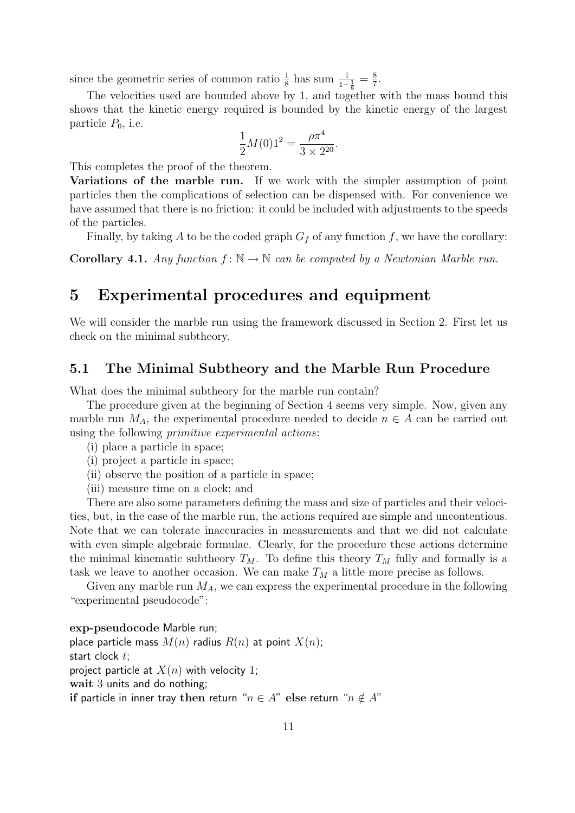since the geometric series of common ratio  $\frac{1}{8}$  has sum  $\frac{1}{1-\frac{1}{8}} = \frac{8}{7}$  $\frac{8}{7}$ .

The velocities used are bounded above by 1, and together with the mass bound this shows that the kinetic energy required is bounded by the kinetic energy of the largest particle  $P_0$ , i.e.

$$
\frac{1}{2}M(0)1^2 = \frac{\rho \pi^4}{3 \times 2^{20}}.
$$

This completes the proof of the theorem.

Variations of the marble run. If we work with the simpler assumption of point particles then the complications of selection can be dispensed with. For convenience we have assumed that there is no friction: it could be included with adjustments to the speeds of the particles.

Finally, by taking A to be the coded graph  $G_f$  of any function f, we have the corollary:

**Corollary 4.1.** Any function  $f: \mathbb{N} \to \mathbb{N}$  can be computed by a Newtonian Marble run.

# 5 Experimental procedures and equipment

We will consider the marble run using the framework discussed in Section 2. First let us check on the minimal subtheory.

### 5.1 The Minimal Subtheory and the Marble Run Procedure

What does the minimal subtheory for the marble run contain?

The procedure given at the beginning of Section 4 seems very simple. Now, given any marble run  $M_A$ , the experimental procedure needed to decide  $n \in A$  can be carried out using the following primitive experimental actions:

- (i) place a particle in space;
- (i) project a particle in space;
- (ii) observe the position of a particle in space;
- (iii) measure time on a clock; and

There are also some parameters defining the mass and size of particles and their velocities, but, in the case of the marble run, the actions required are simple and uncontentious. Note that we can tolerate inaccuracies in measurements and that we did not calculate with even simple algebraic formulae. Clearly, for the procedure these actions determine the minimal kinematic subtheory  $T_M$ . To define this theory  $T_M$  fully and formally is a task we leave to another occasion. We can make  $T_M$  a little more precise as follows.

Given any marble run  $M_A$ , we can express the experimental procedure in the following "experimental pseudocode":

exp-pseudocode Marble run; place particle mass  $M(n)$  radius  $R(n)$  at point  $X(n)$ ; start clock  $t$ ; project particle at  $X(n)$  with velocity 1; wait 3 units and do nothing; if particle in inner tray then return " $n \in A$ " else return " $n \notin A$ "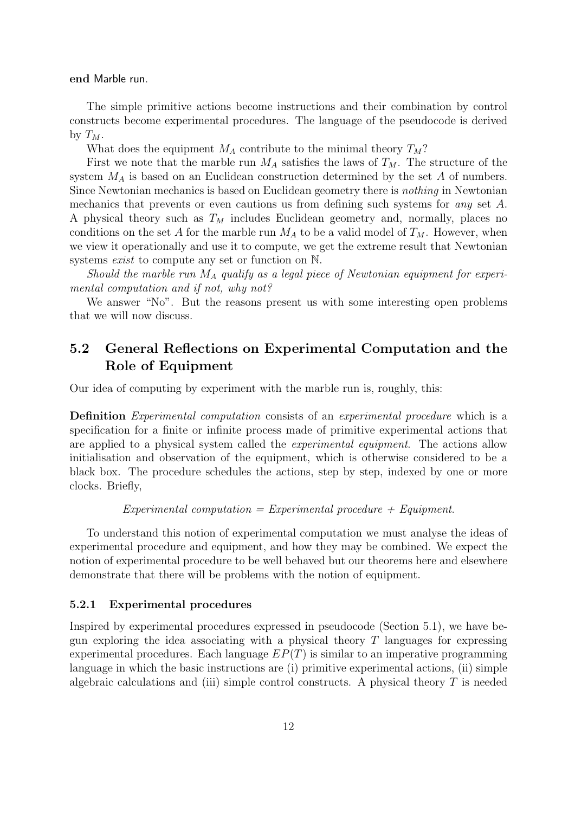#### end Marble run.

The simple primitive actions become instructions and their combination by control constructs become experimental procedures. The language of the pseudocode is derived by  $T_M$ .

What does the equipment  $M_A$  contribute to the minimal theory  $T_M$ ?

First we note that the marble run  $M_A$  satisfies the laws of  $T_M$ . The structure of the system  $M_A$  is based on an Euclidean construction determined by the set A of numbers. Since Newtonian mechanics is based on Euclidean geometry there is nothing in Newtonian mechanics that prevents or even cautions us from defining such systems for any set A. A physical theory such as  $T_M$  includes Euclidean geometry and, normally, places no conditions on the set A for the marble run  $M_A$  to be a valid model of  $T_M$ . However, when we view it operationally and use it to compute, we get the extreme result that Newtonian systems *exist* to compute any set or function on N.

Should the marble run  $M_A$  qualify as a legal piece of Newtonian equipment for experimental computation and if not, why not?

We answer "No". But the reasons present us with some interesting open problems that we will now discuss.

## 5.2 General Reflections on Experimental Computation and the Role of Equipment

Our idea of computing by experiment with the marble run is, roughly, this:

Definition Experimental computation consists of an experimental procedure which is a specification for a finite or infinite process made of primitive experimental actions that are applied to a physical system called the experimental equipment. The actions allow initialisation and observation of the equipment, which is otherwise considered to be a black box. The procedure schedules the actions, step by step, indexed by one or more clocks. Briefly,

Experimental computation  $=$  Experimental procedure  $+$  Equipment.

To understand this notion of experimental computation we must analyse the ideas of experimental procedure and equipment, and how they may be combined. We expect the notion of experimental procedure to be well behaved but our theorems here and elsewhere demonstrate that there will be problems with the notion of equipment.

### 5.2.1 Experimental procedures

Inspired by experimental procedures expressed in pseudocode (Section 5.1), we have begun exploring the idea associating with a physical theory  $T$  languages for expressing experimental procedures. Each language  $EP(T)$  is similar to an imperative programming language in which the basic instructions are (i) primitive experimental actions, (ii) simple algebraic calculations and (iii) simple control constructs. A physical theory  $T$  is needed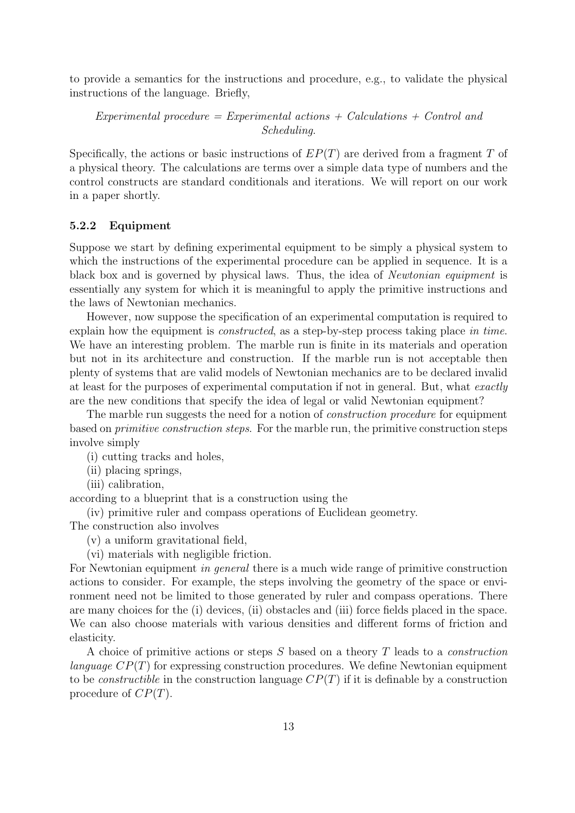to provide a semantics for the instructions and procedure, e.g., to validate the physical instructions of the language. Briefly,

Experimental procedure  $=$  Experimental actions  $+$  Calculations  $+$  Control and Scheduling.

Specifically, the actions or basic instructions of  $EP(T)$  are derived from a fragment T of a physical theory. The calculations are terms over a simple data type of numbers and the control constructs are standard conditionals and iterations. We will report on our work in a paper shortly.

### 5.2.2 Equipment

Suppose we start by defining experimental equipment to be simply a physical system to which the instructions of the experimental procedure can be applied in sequence. It is a black box and is governed by physical laws. Thus, the idea of Newtonian equipment is essentially any system for which it is meaningful to apply the primitive instructions and the laws of Newtonian mechanics.

However, now suppose the specification of an experimental computation is required to explain how the equipment is *constructed*, as a step-by-step process taking place in time. We have an interesting problem. The marble run is finite in its materials and operation but not in its architecture and construction. If the marble run is not acceptable then plenty of systems that are valid models of Newtonian mechanics are to be declared invalid at least for the purposes of experimental computation if not in general. But, what exactly are the new conditions that specify the idea of legal or valid Newtonian equipment?

The marble run suggests the need for a notion of *construction procedure* for equipment based on primitive construction steps. For the marble run, the primitive construction steps involve simply

(i) cutting tracks and holes,

(ii) placing springs,

(iii) calibration,

according to a blueprint that is a construction using the

(iv) primitive ruler and compass operations of Euclidean geometry. The construction also involves

(v) a uniform gravitational field,

(vi) materials with negligible friction.

For Newtonian equipment in general there is a much wide range of primitive construction actions to consider. For example, the steps involving the geometry of the space or environment need not be limited to those generated by ruler and compass operations. There are many choices for the (i) devices, (ii) obstacles and (iii) force fields placed in the space. We can also choose materials with various densities and different forms of friction and elasticity.

A choice of primitive actions or steps S based on a theory T leads to a construction language  $CP(T)$  for expressing construction procedures. We define Newtonian equipment to be *constructible* in the construction language  $CP(T)$  if it is definable by a construction procedure of  $CP(T)$ .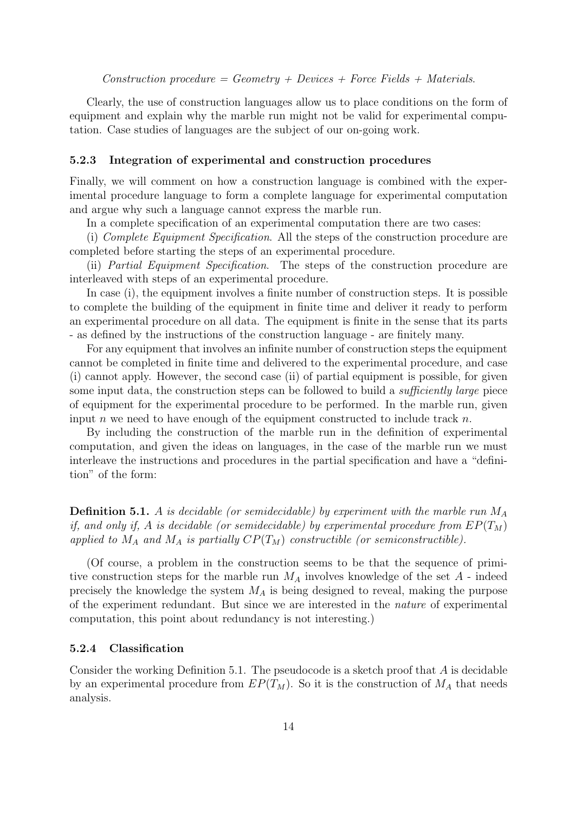Clearly, the use of construction languages allow us to place conditions on the form of equipment and explain why the marble run might not be valid for experimental computation. Case studies of languages are the subject of our on-going work.

### 5.2.3 Integration of experimental and construction procedures

Finally, we will comment on how a construction language is combined with the experimental procedure language to form a complete language for experimental computation and argue why such a language cannot express the marble run.

In a complete specification of an experimental computation there are two cases:

(i) Complete Equipment Specification. All the steps of the construction procedure are completed before starting the steps of an experimental procedure.

(ii) Partial Equipment Specification. The steps of the construction procedure are interleaved with steps of an experimental procedure.

In case (i), the equipment involves a finite number of construction steps. It is possible to complete the building of the equipment in finite time and deliver it ready to perform an experimental procedure on all data. The equipment is finite in the sense that its parts - as defined by the instructions of the construction language - are finitely many.

For any equipment that involves an infinite number of construction steps the equipment cannot be completed in finite time and delivered to the experimental procedure, and case (i) cannot apply. However, the second case (ii) of partial equipment is possible, for given some input data, the construction steps can be followed to build a *sufficiently large* piece of equipment for the experimental procedure to be performed. In the marble run, given input n we need to have enough of the equipment constructed to include track  $n$ .

By including the construction of the marble run in the definition of experimental computation, and given the ideas on languages, in the case of the marble run we must interleave the instructions and procedures in the partial specification and have a "definition" of the form:

**Definition 5.1.** A is decidable (or semidecidable) by experiment with the marble run  $M_A$ if, and only if, A is decidable (or semidecidable) by experimental procedure from  $EP(T_M)$ applied to  $M_A$  and  $M_A$  is partially  $CP(T_M)$  constructible (or semiconstructible).

(Of course, a problem in the construction seems to be that the sequence of primitive construction steps for the marble run  $M_A$  involves knowledge of the set  $A$  - indeed precisely the knowledge the system  $M_A$  is being designed to reveal, making the purpose of the experiment redundant. But since we are interested in the nature of experimental computation, this point about redundancy is not interesting.)

### 5.2.4 Classification

Consider the working Definition 5.1. The pseudocode is a sketch proof that A is decidable by an experimental procedure from  $EP(T_M)$ . So it is the construction of  $M_A$  that needs analysis.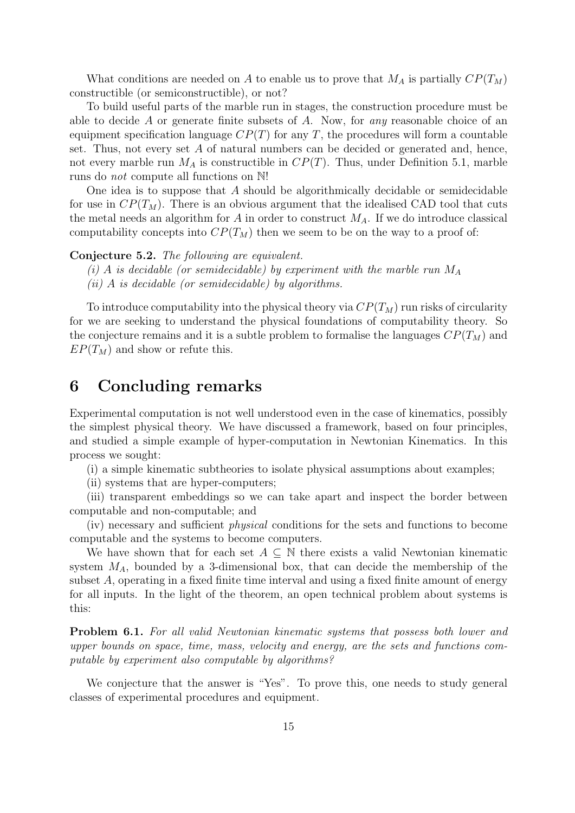What conditions are needed on A to enable us to prove that  $M_A$  is partially  $CP(T_M)$ constructible (or semiconstructible), or not?

To build useful parts of the marble run in stages, the construction procedure must be able to decide A or generate finite subsets of A. Now, for any reasonable choice of an equipment specification language  $CP(T)$  for any T, the procedures will form a countable set. Thus, not every set A of natural numbers can be decided or generated and, hence, not every marble run  $M_A$  is constructible in  $CP(T)$ . Thus, under Definition 5.1, marble runs do not compute all functions on N!

One idea is to suppose that A should be algorithmically decidable or semidecidable for use in  $CP(T_M)$ . There is an obvious argument that the idealised CAD tool that cuts the metal needs an algorithm for A in order to construct  $M_A$ . If we do introduce classical computability concepts into  $CP(T_M)$  then we seem to be on the way to a proof of:

Conjecture 5.2. The following are equivalent.

(i) A is decidable (or semidecidable) by experiment with the marble run  $M_A$ 

 $(ii)$  A is decidable (or semidecidable) by algorithms.

To introduce computability into the physical theory via  $CP(T_M)$  run risks of circularity for we are seeking to understand the physical foundations of computability theory. So the conjecture remains and it is a subtle problem to formalise the languages  $CP(T_M)$  and  $E P(T_M)$  and show or refute this.

# 6 Concluding remarks

Experimental computation is not well understood even in the case of kinematics, possibly the simplest physical theory. We have discussed a framework, based on four principles, and studied a simple example of hyper-computation in Newtonian Kinematics. In this process we sought:

(i) a simple kinematic subtheories to isolate physical assumptions about examples;

(ii) systems that are hyper-computers;

(iii) transparent embeddings so we can take apart and inspect the border between computable and non-computable; and

(iv) necessary and sufficient physical conditions for the sets and functions to become computable and the systems to become computers.

We have shown that for each set  $A \subseteq \mathbb{N}$  there exists a valid Newtonian kinematic system  $M_A$ , bounded by a 3-dimensional box, that can decide the membership of the subset A, operating in a fixed finite time interval and using a fixed finite amount of energy for all inputs. In the light of the theorem, an open technical problem about systems is this:

Problem 6.1. For all valid Newtonian kinematic systems that possess both lower and upper bounds on space, time, mass, velocity and energy, are the sets and functions computable by experiment also computable by algorithms?

We conjecture that the answer is "Yes". To prove this, one needs to study general classes of experimental procedures and equipment.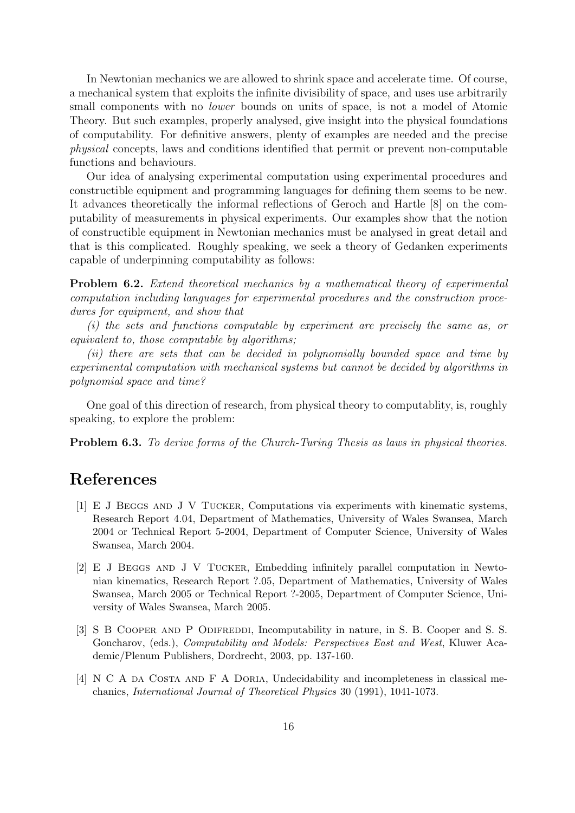In Newtonian mechanics we are allowed to shrink space and accelerate time. Of course, a mechanical system that exploits the infinite divisibility of space, and uses use arbitrarily small components with no *lower* bounds on units of space, is not a model of Atomic Theory. But such examples, properly analysed, give insight into the physical foundations of computability. For definitive answers, plenty of examples are needed and the precise physical concepts, laws and conditions identified that permit or prevent non-computable functions and behaviours.

Our idea of analysing experimental computation using experimental procedures and constructible equipment and programming languages for defining them seems to be new. It advances theoretically the informal reflections of Geroch and Hartle [8] on the computability of measurements in physical experiments. Our examples show that the notion of constructible equipment in Newtonian mechanics must be analysed in great detail and that is this complicated. Roughly speaking, we seek a theory of Gedanken experiments capable of underpinning computability as follows:

Problem 6.2. Extend theoretical mechanics by a mathematical theory of experimental computation including languages for experimental procedures and the construction procedures for equipment, and show that

(i) the sets and functions computable by experiment are precisely the same as, or equivalent to, those computable by algorithms;

(ii) there are sets that can be decided in polynomially bounded space and time by experimental computation with mechanical systems but cannot be decided by algorithms in polynomial space and time?

One goal of this direction of research, from physical theory to computablity, is, roughly speaking, to explore the problem:

Problem 6.3. To derive forms of the Church-Turing Thesis as laws in physical theories.

# References

- [1] E J Beggs and J V Tucker, Computations via experiments with kinematic systems, Research Report 4.04, Department of Mathematics, University of Wales Swansea, March 2004 or Technical Report 5-2004, Department of Computer Science, University of Wales Swansea, March 2004.
- [2] E J Beggs and J V Tucker, Embedding infinitely parallel computation in Newtonian kinematics, Research Report ?.05, Department of Mathematics, University of Wales Swansea, March 2005 or Technical Report ?-2005, Department of Computer Science, University of Wales Swansea, March 2005.
- [3] S B Cooper and P Odifreddi, Incomputability in nature, in S. B. Cooper and S. S. Goncharov, (eds.), Computability and Models: Perspectives East and West, Kluwer Academic/Plenum Publishers, Dordrecht, 2003, pp. 137-160.
- [4] N C A da Costa and F A Doria, Undecidability and incompleteness in classical mechanics, International Journal of Theoretical Physics 30 (1991), 1041-1073.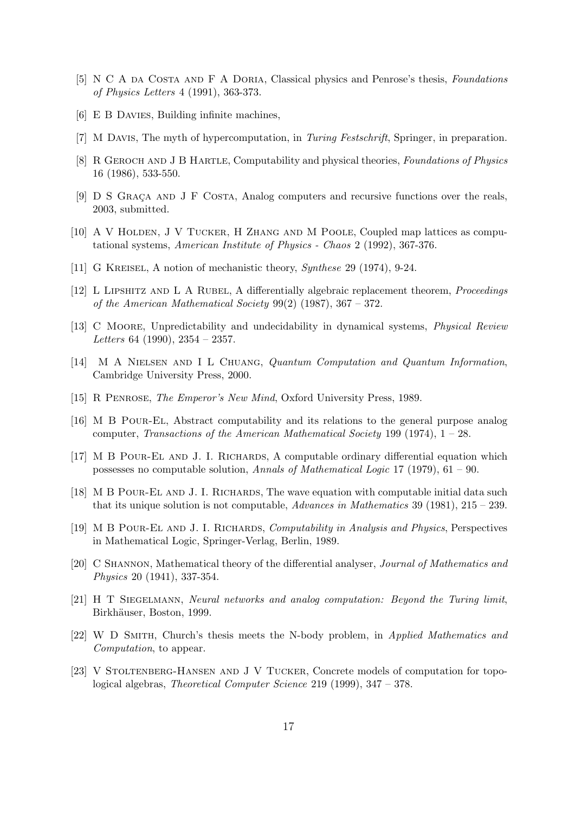- [5] N C A DA COSTA AND F A DORIA, Classical physics and Penrose's thesis, Foundations of Physics Letters 4 (1991), 363-373.
- [6] E B DAVIES, Building infinite machines,
- [7] M Davis, The myth of hypercomputation, in Turing Festschrift, Springer, in preparation.
- [8] R Geroch and J B Hartle, Computability and physical theories, Foundations of Physics 16 (1986), 533-550.
- [9] D S GRAÇA AND J F COSTA, Analog computers and recursive functions over the reals, 2003, submitted.
- [10] A V Holden, J V Tucker, H Zhang and M Poole, Coupled map lattices as computational systems, American Institute of Physics - Chaos 2 (1992), 367-376.
- [11] G KREISEL, A notion of mechanistic theory, *Synthese* 29 (1974), 9-24.
- [12] L Lipshitz and L A Rubel, A differentially algebraic replacement theorem, Proceedings of the American Mathematical Society 99(2) (1987), 367 – 372.
- [13] C Moore, Unpredictability and undecidability in dynamical systems, Physical Review Letters 64 (1990),  $2354 - 2357$ .
- [14] M A Nielsen and I L Chuang, Quantum Computation and Quantum Information, Cambridge University Press, 2000.
- [15] R Penrose, The Emperor's New Mind, Oxford University Press, 1989.
- [16] M B Pour-El, Abstract computability and its relations to the general purpose analog computer, Transactions of the American Mathematical Society 199 (1974), 1 – 28.
- [17] M B Pour-El and J. I. Richards, A computable ordinary differential equation which possesses no computable solution, Annals of Mathematical Logic 17 (1979), 61 – 90.
- [18] M B POUR-EL AND J. I. RICHARDS. The wave equation with computable initial data such that its unique solution is not computable, Advances in Mathematics 39 (1981),  $215 - 239$ .
- [19] M B Pour-El and J. I. Richards, Computability in Analysis and Physics, Perspectives in Mathematical Logic, Springer-Verlag, Berlin, 1989.
- [20] C SHANNON, Mathematical theory of the differential analyser, *Journal of Mathematics and* Physics 20 (1941), 337-354.
- [21] H T SIEGELMANN, Neural networks and analog computation: Beyond the Turing limit, Birkhäuser, Boston, 1999.
- [22] W D Smith, Church's thesis meets the N-body problem, in Applied Mathematics and Computation, to appear.
- [23] V Stoltenberg-Hansen and J V Tucker, Concrete models of computation for topological algebras, Theoretical Computer Science 219 (1999), 347 – 378.